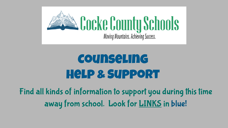

# Counseling Help & Support

Find all kinds of information to support you during this time away from school. Look for **LINKS** in blue!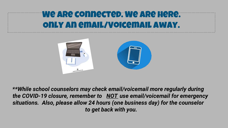#### We are connected. We are here. Only an email/Voicemail away.



*\*\*Whileschoolcounselorsmaycheckemail/voicemailmoreregularlyduring* the COVID-19 closure, remember to **NOT** use email/voicemail for emergency situations. Also, please allow 24 hours (one business day) for the counselor to get back with you.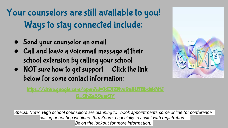Your counselors are still available to you! Ways to stay connected include:

- Send your counselor an email
- Call and leave a voicemail message at their school extension by calling your school
- NOT sure how to get support--Click the link below for some contact information:



**Special Note: High school counselors are planning to book appointments some online for conference** calling or hosting webinars thru Zoom--especially to assist with registration. Be on the lookout for more information.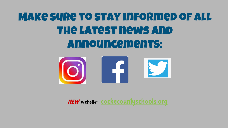# Make sure to stay informed of all the latest news and announcements:



*NEW* website: <u>[cockecountyschools.org](http://cockecountyschools.org)</u>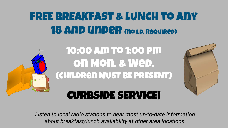## FREE BREAKFAST & LUNCH to any 18 AND UNDER (NO I.D. REQUIRED)



Listen to local radio stations to hear most up-to-date information about breakfast/lunch availability at other area locations.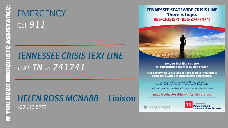## **EMERGENCY** Call *911*

## *TENNESSEE CRISIS TEXT LINE TEXT TN to 741741*

## *HELEN ROSS MCNABB* **Liaison**

423-613-5777

#### **TENNESSEE STATEWIDE CRISIS LINE** There is hope. 855-CRISIS-1 (855-274-7471)



Do you feel like you are experiencing a mental health crisis?

Our Statewide Crisis Line is here to help individuals struggling with a mental health emergency.

This phone line is free and operated by caring, trained<br>mental health professionals, 24 hours a day, 7 days a week.

Confidential help from anywhere in Tennessee is only a phone call away.

#### tn.gov/behavioral-health/crisis-services

see Departmant of Mental Health and Substance Abus<br>tation No. 339617, June 2018, 1,000 copies. This publ

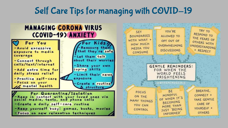### Self Care Tips for managing with COVID-19

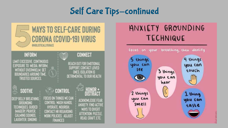### Self Care Tips-continued

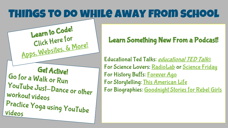## Things to do while away from school

**Get Active!** Go for a Walk or Run YouTube Just-Dance or other workout videos Practice Yoga using YouTube Apps, [Websites, & M](https://codewizardshq.com/coding-for-kids-free/?fbclid=IwAR1q4oPUY5EJETxA3EAnLyL7IMqI5rmLVrXnRHS2B5nxXoLwo4ywzpFDrk4)ore!

**Learn to Code!**

Click Here for

#### **Learn Something New From a Podcast!**

Educational Ted Talks: *[educational TED Talk](https://ed.ted.com/lessons?content_type=animations+talks&direction=desc&sort=publish-date&user_by_click=student)[s](https://ed.ted.com/lessons?content_type=animations+talks&direction=desc&sort=publish-date&user_by_click=student)* For Science Lovers: [RadioLab](https://www.wnycstudios.org/podcasts/radiolab) or [Science Friday](https://www.google.com/url?q=https://www.sciencefriday.com/&sa=D&ust=1584307321772000) For History Buffs: [Forever Ago](https://www.brainson.org/pages/foreverago) For Storytelling: [This American Life](https://www.thisamericanlife.org/) For Biographies: [Goodnight Stories for Rebel Girls](https://www.google.com/url?q=https://www.rebelgirls.com/pages/podcast&sa=D&ust=1584307321745000)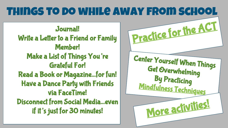#### Things to do while away from school ● **Journal! Prac[ti](https://actacademy.act.org/)c[e](https://actacademy.act.org/) [for](https://actacademy.act.org/) [the A](https://actacademy.act.org/)CT Write a Letter to a Friend or Family Member! Make a List of Things You're Grateful For!** ● **Read a Book or Magazine...for fun!** ● **Have a Dance Party with Friends via FaceTime! Disconnect from Social Media...even if it's just for 30 minutes! Center Yourself When Things Get Overwhelming By Practicing [Mindfulness Techniques](http://mindfulnessforteens.com/guided-meditations/) [More](https://drive.google.com/file/d/1bbH5XbNAIwsoYzVr5hqbLU9Ug7OnQ9qD/view?usp=sharing) [activities](https://drive.google.com/file/d/1bbH5XbNAIwsoYzVr5hqbLU9Ug7OnQ9qD/view?usp=sharing)!**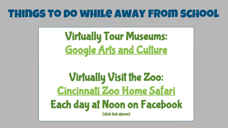## Things to do while away from school

**Virtually Tour Museums: [Google Arts and Culture](https://artsandculture.google.com/project/street-view)**

**Virtually Visit the Zoo: [Cincinnati Zoo Home Safari](https://www.facebook.com/cincinnatizoo/?__tn__=kCH-R&eid=ARBvTWfWMzQkQmM9CkdB_eBc-_-VuwSPOH3XjYakT3ZRPpce23z8O2uk4CYKai6TLAN519Eqw1X-NDIt&hc_ref=ARQXT3QvCaHKkxh6VWN7zySrBgGUgCkW22lKjsEl3ZHnWBcznEFz-MFJ9EbZRTUp9kU&fref=nf&__xts__%5B0%5D=68.ARCX7mb_hOevIYQfs_3hLv1vA8D2Rnoe6lWOyLgBOx0DKo9RTk1-JrU_w5lFFBcM2LQg-AQfRHS_5Qqvrc09qK-H6nC-jpIx9DUVKMtBgGss7GsQE4ueFmJpNOwbAfFEzNL6djU5hTraTlNfzgsgxnwgATORuql-A6F2zho0Zkkq9-HMRw8HICGHKIHfGHC8bIqXMMN_4yLpqOLJ6AgOdTMcew_n0nTKvXadS0HD2eC1ndREkpEKnP73k4wH0uRr5P_xbktod0WZ1ZYpRFAHJMIk8yFNNCI2R1Vik7vD-u2HIYgqjki_WskdHP7kkRbh17SZhRajtF3AxBGr) Each day at Noon on Facebook (click link above)**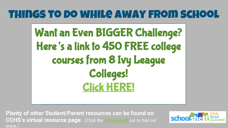## Things to do while away from school

**Want an Even BIGGER Challenge? Here's a link to 450 FREE college courses from 8 Ivy League Colleges! [Click HERE!](https://www.freecodecamp.org/news/ivy-league-free-online-courses-a0d7ae675869/?fbclid=IwAR2oPbFuhB491fyLDPRvLe83CyzXeM3NmnJOJXEDhPnwhsmver34iGQMqWA)**

Plenty of other Student/Parent resources can be found on **CCHS's virtual resource page.** *(Click the [Schoolshelf](http://www.schoolshelf.com/981079-cocke/) pic to find out more.)*

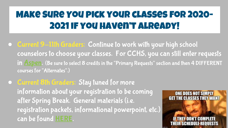## Make Sure You pick your classes for 2020- 2021 if you haven't already!

- Current 9-11th Graders: Continue to work with your high school counselors to choose your classes. For CCHS, you can still enter requests in **[Aspen.](https://sis-cocke-county.tnk12.gov/aspen/logon.do)** (Be sure to select 8 credits in the "Primary Requests" section and then 4 DIFFERENT courses for "Alternates".)
- **Current 8th Graders: Stay tuned for more** information about your registration to be coming after Spring Break. General materials (i.e. registration packets, informational powerpoint, etc.) can be found [HERE.](https://drive.google.com/open?id=1D3VOP6VfJI9ZQecuh5w0gwVW-V2AhGQf)

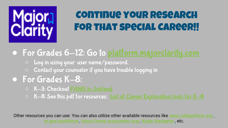

## **Continue your Research** For that special Career!!

● For Grades 6-12: Go to [platform.majorclarity.com](http://platform.majorclarity.com)

- Log in using your user name/password.
- Contact your counselor if you have trouble logging in

### ● For Grades K-8:

- K-3: Checkout [PAWS in Jobland](https://pawsm.xap.com/paws-mobile/index.html#/)
- K-8: See this pdf for resources: <u>[List of Career Exploration tools for K-8](https://drive.google.com/file/d/1qOQl0f6kCvpOpj9OcXZbhm5Z2wq5k_Re/view?usp=sharing)</u>

Other resources you can use: You can also utilize other available resources like [www.collegefortn.org](http://www.collegefortn.org) **[tn.gov/workforce](https://www.tn.gov/workforce/jobs-and-education/job-search1/jobs4tn.html)** ,**<https://www.onetcenter.org/>**,**[KuderNavigator](https://navigator.kuder.com/account/login-register),**etc.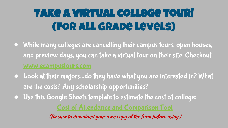# **Take a virtual college tour!** (For all grade levels)

- While many colleges are cancelling their campus tours, open houses, and preview days, you can take a virtual tour on their site. Checkout
- Look at their majors...do they have what you are interested in? What are the costs? Any scholarship opportunities?
- Use this Google Sheets template to estimate the cost of college:

*(Be sure to download your own copy of the form before using.)*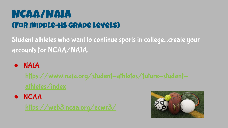## NCAA/NAIA (For middle-HS grade levels)

Student athletes who want to continue sports in college...create your accounts for NCAA/NAIA.

#### ● NAIA

[https://www.naia.org/student-athletes/future-student](https://www.naia.org/student-athletes/future-student-athletes/index)[athletes/index](https://www.naia.org/student-athletes/future-student-athletes/index)

#### ● NCAA

<https://web3.ncaa.org/ecwr3/>

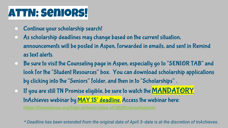## ATTN: Seniors!

- Continue your scholarship search!
- As scholarship deadlines may change based on the current situation, announcements will be posted in Aspen, forwarded in emails, and sent in Remind as text alerts.
- Be sure to visit the Counseling page in Aspen, especially go to "SENIOR TAB" and look for the "Student Resources" box. You can download scholarship applications by clicking into the "Seniors" folder, and then in to "Scholarships" .
- $\bullet$  If you are still TN Promise eligible, be sure to watch the  $\text{MANDATORY}$ tnAchieves webinar by MAY 15<sup>\*</sup> deadline. Access the webinar here: **<https://tnachieves.org/high-school-class-of-2020/cancellations/>**

*\*DeadlinehasbeenextendedfromtheoriginaldateofApril3--dateisatthediscretionoftnAchieves.*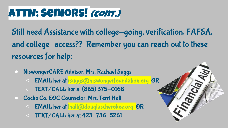## ATTN: Seniors! *(cont.)*

Still need Assistance with college-going, verification, FAFSA, and college-access?? Remember you can reach out to these resources for help:

- NiswongerCARE Advisor, Mrs. Rachael Suggs
	- EMAIL her at **rsuggs@niswongerfoundation.org OR**
	- TEXT/CALL her at (865) 375-0168
- Cocke Co. EOC Counselor, Mrs. Terri Hall
	- EMAIL her at [thall@douglascherokee.org](mailto:thall@douglascherokee.org) OR
	- TEXT/CALL her at 423-736-5261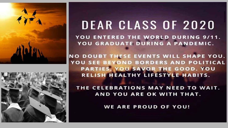



# **DEAR CLASS OF 2020**

YOU ENTERED THE WORLD DURING 9/11. YOU GRADUATE DURING A PANDEMIC.

**NO DOUBT THESE EVENTS WILL SHAPE YOU.** YOU SEE BEYOND BORDERS AND POLITICAL PARTIES. YOU SAVOR THE GOOD. YOU RELISH HEALTHY LIFESTYLE HABITS.

THE CELEBRATIONS MAY NEED TO WAIT. AND YOU ARE OK WITH THAT.

**WE ARE PROUD OF YOU!**